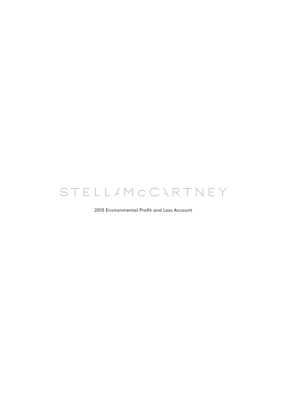# STELL/MCCARTNEY

2015 Environmental Profit and Loss Account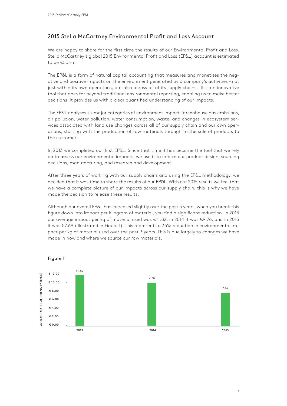# 2015 Stella McCartney Environmental Proft and Loss Account

We are happy to share for the frst time the results of our Environmental Proft and Loss. Stella McCartney's global 2015 Environmental Proft and Loss (EP&L) account is estimated to be €5.5m.

The EP&L is a form of natural capital accounting that measures and monetises the negative and positive impacts on the environment generated by a company's activities – not just within its own operations, but also across all of its supply chains. It is an innovative tool that goes far beyond traditional environmental reporting, enabling us to make better decisions. It provides us with a clear quantifed understanding of our impacts.

The EP&L analyses six major categories of environment impact (greenhouse gas emissions, air pollution, water pollution, water consumption, waste, and changes in ecosystem services associated with land use change) across all of our supply chain and our own operations, starting with the production of raw materials through to the sale of products to the customer.

In 2013 we completed our frst EP&L. Since that time it has become the tool that we rely on to assess our environmental impacts; we use it to inform our product design, sourcing decisions, manufacturing, and research and development.

After three years of working with our supply chains and using the EP&L methodology, we decided that it was time to share the results of our EP&L. With our 2015 results we feel that we have a complete picture of our impacts across our supply chain, this is why we have made the decision to release these results.

Although our overall EP&L has increased slightly over the past 3 years, when you break this fgure down into impact per kilogram of material, you fnd a signifcant reduction. In 2013 our average impact per kg of material used was €11.82, in 2014 it was €9.76, and in 2015 it was €7.69 (illustrated in Figure 1). This represents a 35% reduction in environmental impact per kg of material used over the past 3 years. This is due largely to changes we have made in how and where we source our raw materials.



Figure 1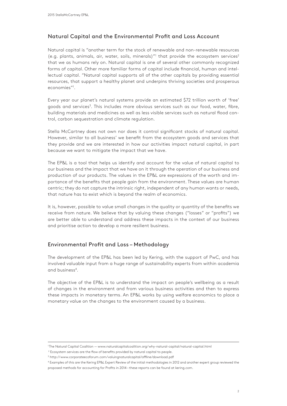# Natural Capital and the Environmental Proft and Loss Account

Natural capital is "another term for the stock of renewable and non-renewable resources (e.g. plants, animals, air, water, soils, minerals)"<sup>1</sup> that provide the ecosystem services<sup>2</sup> that we as humans rely on. Natural capital is one of several other commonly recognized forms of capital. Other more familiar forms of capital include fnancial, human and intellectual capital. "Natural capital supports all of the other capitals by providing essential resources, that support a healthy planet and underpins thriving societies and prosperous economies"1 .

Every year our planet's natural systems provide an estimated \$72 trillion worth of 'free' goods and services<sup>3</sup>. This includes more obvious services such as our food, water, fibre, building materials and medicines as well as less visible services such as natural food control, carbon sequestration and climate regulation.

Stella McCartney does not own nor does it control signifcant stocks of natural capital. However, similar to all business' we beneft from the ecosystem goods and services that they provide and we are interested in how our activities impact natural capital, in part because we want to mitigate the impact that we have.

The EP&L is a tool that helps us identify and account for the value of natural capital to our business and the impact that we have on it through the operation of our business and production of our products. The values in the EP&L are expressions of the worth and importance of the benefts that people gain from the environment. These values are human centric; they do not capture the intrinsic right, independent of any human wants or needs, that nature has to exist which is beyond the realm of economics.

It is, however, possible to value small changes in the quality or quantity of the benefts we receive from nature. We believe that by valuing these changes ("losses" or "profts") we are better able to understand and address these impacts in the context of our business and prioritise action to develop a more resilient business.

# Environmental Proft and Loss – Methodology

The development of the EP&L has been led by Kering, with the support of PwC, and has involved valuable input from a huge range of sustainability experts from within academia and business4.

The objective of the EP&L is to understand the impact on people's wellbeing as a result of changes in the environment and from various business activities and then to express these impacts in monetary terms. An EP&L works by using welfare economics to place a monetary value on the changes to the environment caused by a business.

<sup>1</sup> The Natural Capital Coalition — www.naturalcapitalcoalition.org/why-natural-capital/natural-capital.html

<sup>&</sup>lt;sup>2</sup> Ecosystem services are the flow of benefits provided by natural capital to people.

<sup>&</sup>lt;sup>3</sup> http://www.corporateecoforum.com/valuingnaturalcapital/offline/download.pdf

<sup>4</sup> Examples of this are the Kering EP&L Expert Review of the initial methodologies in 2012 and another expert group reviewed the proposed methods for accounting for Profts in 2014 – these reports can be found at kering.com.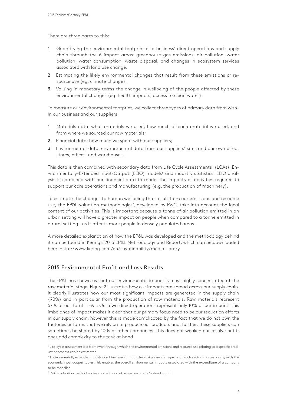There are three parts to this:

- 1 Quantifying the environmental footprint of a business' direct operations and supply chain through the 6 impact areas: greenhouse gas emissions, air pollution, water pollution, water consumption, waste disposal, and changes in ecosystem services associated with land use change.
- 2 Estimating the likely environmental changes that result from these emissions or resource use (eg. climate change).
- 3 Valuing in monetary terms the change in wellbeing of the people affected by these environmental changes (eg. health impacts, access to clean water).

To measure our environmental footprint, we collect three types of primary data from within our business and our suppliers:

- 1 Materials data: what materials we used, how much of each material we used, and from where we sourced our raw materials;
- 2 Financial data: how much we spent with our suppliers;
- 3 Environmental data: environmental data from our suppliers' sites and our own direct stores, offices, and warehouses.

This data is then combined with secondary data from Life Cycle Assessments<sup>5</sup> (LCAs), Environmentally-Extended Input-Output (EEIO) models<sup>6</sup> and industry statistics. EEIO analysis is combined with our fnancial data to model the impacts of activities required to support our core operations and manufacturing (e.g. the production of machinery).

To estimate the changes to human wellbeing that result from our emissions and resource use, the EP&L valuation methodologies<sup>7</sup>, developed by PwC, take into account the local context of our activities. This is important because a tonne of air pollution emitted in an urban setting will have a greater impact on people when compared to a tonne emitted in a rural setting – as it afects more people in densely populated areas.

A more detailed explanation of how the EP&L was developed and the methodology behind it can be found in Kering's 2013 EP&L Methodology and Report, which can be downloaded here: http://www.kering.com/en/sustainability/media-library

# 2015 Environmental Profit and Loss Results

The EP&L has shown us that our environmental impact is most highly concentrated at the raw material stage. Figure 2 illustrates how our impacts are spread across our supply chain. It clearly illustrates how our most significant impacts are generated in the supply chain (90%) and in particular from the production of raw materials. Raw materials represent 57% of our total E P&L. Our own direct operations represent only 10% of our impact. This imbalance of impact makes it clear that our primary focus need to be our reduction efforts in our supply chain, however this is made complicated by the fact that we do not own the factories or farms that we rely on to produce our products and, further, these suppliers can sometimes be shared by 100s of other companies. This does not weaken our resolve but it does add complexity to the task at hand.

 $^5$  Life-cycle assessment is a framework through which the environmental emissions and resource use relating to a specific product or process can be estimated.

<sup>6</sup> Environmentally extended models combine research into the environmental aspects of each sector in an economy with the economic input-output tables. This enables the overall environmental impacts associated with the expenditure of a company to be modelled.

<sup>7</sup> PwC's valuation methodologies can be found at: www.pwc.co.uk/naturalcapital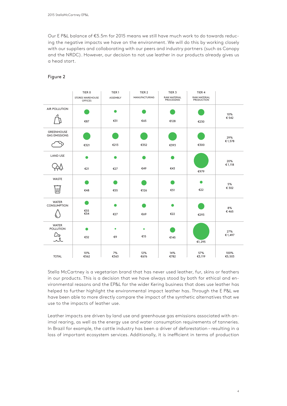Our E P&L balance of €5.5m for 2015 means we still have much work to do towards reducing the negative impacts we have on the environment. We will do this by working closely with our suppliers and collaborating with our peers and industry partners (such as Canopy and the NRDC). However, our decision to not use leather in our products already gives us a head start.

|                                           | TIER <sub>0</sub>                         | TIER <sub>1</sub> | TIER <sub>2</sub>    | TIER 3                                   | TIER 4                     |                |
|-------------------------------------------|-------------------------------------------|-------------------|----------------------|------------------------------------------|----------------------------|----------------|
|                                           | <b>STORES WAREHOUSE</b><br><b>OFFICES</b> | ASSEMBLY          | <b>MANUFACTURING</b> | <b>RAW MATERIAL</b><br><b>PROCESSING</b> | RAW MATERIAL<br>PRODUCTION |                |
| AIR POLLUTION                             |                                           |                   |                      |                                          |                            | 10%<br>€ 542   |
|                                           | €87                                       | €31               | €65                  | €128                                     | €230                       |                |
| <b>GREENHOUSE</b><br><b>GAS EMISSIONS</b> |                                           |                   |                      |                                          |                            | 29%<br>€1,578  |
|                                           | €321                                      | €213              | €352                 | €393                                     | €300                       |                |
| <b>LAND USE</b>                           | œ                                         |                   |                      |                                          |                            | 20%            |
|                                           | €21                                       | €27               | €49                  | €43                                      | €979                       | €1,118         |
| WASTE                                     |                                           |                   |                      |                                          |                            | 5%             |
| ШJ                                        | €48                                       | €55               | €126                 | €51                                      | €22                        | € 302          |
| <b>WATER</b><br><b>CONSUMPTION</b>        |                                           |                   |                      |                                          |                            | 8%             |
|                                           | €55<br>€54                                | €27               | €69                  | €22                                      | €293                       | €465           |
| <b>WATER</b><br><b>POLLUTION</b>          |                                           | ٠                 | ٠                    |                                          |                            | 27%            |
|                                           | €32                                       | €9                | €15                  | €145                                     | €1,295                     | €1,497         |
| <b>TOTAL</b>                              | 10%<br>€562                               | 7%<br>€363        | 12%<br>€676          | 14%<br>€782                              | 57%<br>€3,119              | 100%<br>€5,503 |

# Figure 2

Stella McCartney is a vegetarian brand that has never used leather, fur, skins or feathers in our products. This is a decision that we have always stood by both for ethical and environmental reasons and the EP&L for the wider Kering business that does use leather has helped to further highlight the environmental impact leather has. Through the E P&L we have been able to more directly compare the impact of the synthetic alternatives that we use to the impacts of leather use.

Leather impacts are driven by land use and greenhouse gas emissions associated with animal rearing, as well as the energy use and water consumption requirements of tanneries. In Brazil for example, the cattle industry has been a driver of deforestation – resulting in a loss of important ecosystem services. Additionally, it is inefficient in terms of production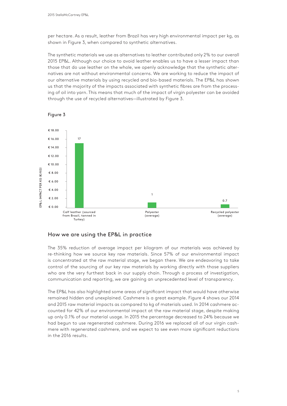per hectare. As a result, leather from Brazil has very high environmental impact per kg, as shown in Figure 3, when compared to synthetic alternatives.

The synthetic materials we use as alternatives to leather contributed only 2% to our overall 2015 EP&L. Although our choice to avoid leather enables us to have a lesser impact than those that do use leather on the whole, we openly acknowledge that the synthetic alternatives are not without environmental concerns. We are working to reduce the impact of our alternative materials by using recycled and bio-based materials. The EP&L has shown us that the majority of the impacts associated with synthetic fbres are from the processing of oil into yarn. This means that much of the impact of virgin polyester can be avoided through the use of recycled alternatives—illustrated by Figure 3.



#### Figure 3

## How we are using the EP&L in practice

The 35% reduction of average impact per kilogram of our materials was achieved by re-thinking how we source key raw materials. Since 57% of our environmental impact is concentrated at the raw material stage, we began there. We are endeavoring to take control of the sourcing of our key raw materials by working directly with those suppliers who are the very furthest back in our supply chain. Through a process of investigation, communication and reporting, we are gaining an unprecedented level of transparency.

The EP&L has also highlighted some areas of signifcant impact that would have otherwise remained hidden and unexplained. Cashmere is a great example. Figure 4 shows our 2014 and 2015 raw material impacts as compared to kg of materials used. In 2014 cashmere accounted for 42% of our environmental impact at the raw material stage, despite making up only 0.1% of our material usage. In 2015 the percentage decreased to 24% because we had begun to use regenerated cashmere. During 2016 we replaced all of our virgin cashmere with regenerated cashmere, and we expect to see even more signifcant reductions in the 2016 results.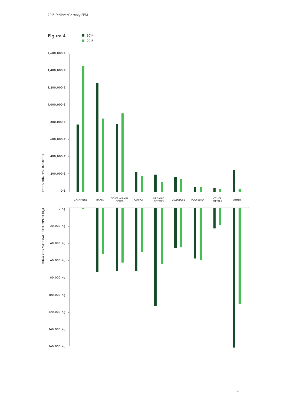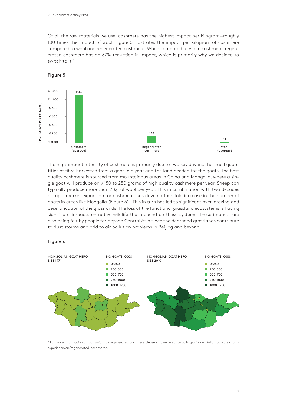Of all the raw materials we use, cashmere has the highest impact per kilogram—roughly 100 times the impact of wool. Figure 5 illustrates the impact per kilogram of cashmere compared to wool and regenerated cashmere. When compared to virgin cashmere, regenerated cashmere has an 87% reduction in impact, which is primarily why we decided to switch to it <sup>8</sup>.

#### € 1,200 1146  $£ 1,000$ EP& L IMPACT PER KG (€/KG) EP& L IMPACT PER KG (€/KG) € 800 € 600 € 400 144 € 200 11 € 0.00 Cashmere Regenerated Wool (average) cashmere (average)

The high-impact intensity of cashmere is primarily due to two key drivers: the small quantities of fbre harvested from a goat in a year and the land needed for the goats. The best quality cashmere is sourced from mountainous areas in China and Mongolia, where a single goat will produce only 150 to 250 grams of high quality cashmere per year. Sheep can typically produce more than 7 kg of wool per year. This in combination with two decades of rapid market expansion for cashmere, has driven a four-fold increase in the number of goats in areas like Mongolia (Figure 6). This in turn has led to signifcant over-grazing and desertifcation of the grasslands. The loss of the functional grassland ecosystems is having signifcant impacts on native wildlife that depend on these systems. These impacts are also being felt by people far beyond Central Asia since the degraded grasslands contribute to dust storms and add to air pollution problems in Beijing and beyond.

## Figure 6



 $^8$  For more information on our switch to regenerated cashmere please visit our website at http://www.stellamccartney.com/ experience/en/regenerated-cashmere/.

# Figure 5